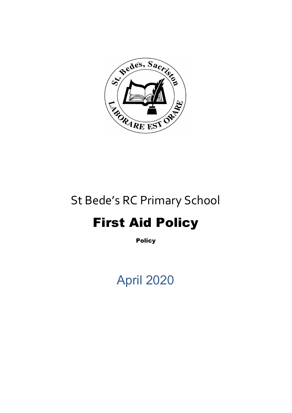

## St Bede's RC Primary School

# First Aid Policy

**Policy** 

# April 2020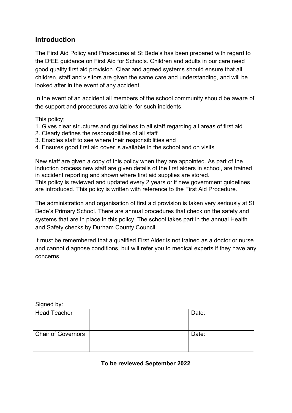### **Introduction**

The First Aid Policy and Procedures at St Bede's has been prepared with regard to the DfEE guidance on First Aid for Schools. Children and adults in our care need good quality first aid provision. Clear and agreed systems should ensure that all children, staff and visitors are given the same care and understanding, and will be looked after in the event of any accident.

In the event of an accident all members of the school community should be aware of the support and procedures available for such incidents.

This policy;

- 1. Gives clear structures and guidelines to all staff regarding all areas of first aid
- 2. Clearly defines the responsibilities of all staff
- 3. Enables staff to see where their responsibilities end
- 4. Ensures good first aid cover is available in the school and on visits

New staff are given a copy of this policy when they are appointed. As part of the induction process new staff are given details of the first aiders in school, are trained in accident reporting and shown where first aid supplies are stored. This policy is reviewed and updated every 2 years or if new government guidelines are introduced. This policy is written with reference to the First Aid Procedure.

The administration and organisation of first aid provision is taken very seriously at St Bede's Primary School. There are annual procedures that check on the safety and systems that are in place in this policy. The school takes part in the annual Health and Safety checks by Durham County Council.

It must be remembered that a qualified First Aider is not trained as a doctor or nurse and cannot diagnose conditions, but will refer you to medical experts if they have any concerns.

Signed by:

| <b>Head Teacher</b>       | Date: |
|---------------------------|-------|
| <b>Chair of Governors</b> | Date: |

**To be reviewed September 2022**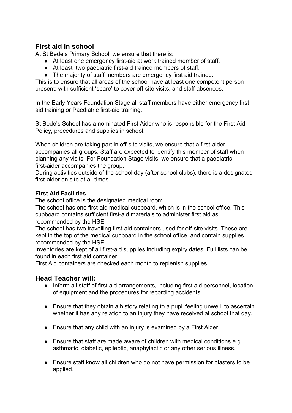## **First aid in school**

At St Bede's Primary School, we ensure that there is:

- At least one emergency first-aid at work trained member of staff.
- At least two paediatric first-aid trained members of staff.
- The majority of staff members are emergency first aid trained.

This is to ensure that all areas of the school have at least one competent person present; with sufficient 'spare' to cover off-site visits, and staff absences.

In the Early Years Foundation Stage all staff members have either emergency first aid training or Paediatric first-aid training.

St Bede's School has a nominated First Aider who is responsible for the First Aid Policy, procedures and supplies in school.

When children are taking part in off-site visits, we ensure that a first-aider accompanies all groups. Staff are expected to identify this member of staff when planning any visits. For Foundation Stage visits, we ensure that a paediatric first-aider accompanies the group.

During activities outside of the school day (after school clubs), there is a designated first-aider on site at all times.

#### **First Aid Facilities**

The school office is the designated medical room.

The school has one first-aid medical cupboard, which is in the school office. This cupboard contains sufficient first-aid materials to administer first aid as recommended by the HSE.

The school has two travelling first-aid containers used for off-site visits. These are kept in the top of the medical cupboard in the school office, and contain supplies recommended by the HSE.

Inventories are kept of all first-aid supplies including expiry dates. Full lists can be found in each first aid container.

First Aid containers are checked each month to replenish supplies.

### **Head Teacher will:**

- Inform all staff of first aid arrangements, including first aid personnel, location of equipment and the procedures for recording accidents.
- Ensure that they obtain a history relating to a pupil feeling unwell, to ascertain whether it has any relation to an injury they have received at school that day.
- Ensure that any child with an injury is examined by a First Aider.
- Ensure that staff are made aware of children with medical conditions e.g. asthmatic, diabetic, epileptic, anaphylactic or any other serious illness.
- Ensure staff know all children who do not have permission for plasters to be applied.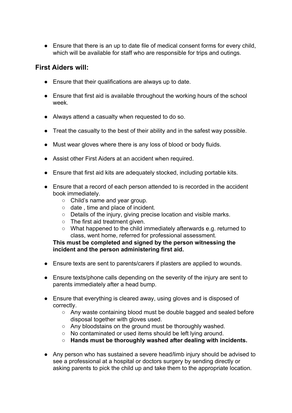● Ensure that there is an up to date file of medical consent forms for every child, which will be available for staff who are responsible for trips and outings.

### **First Aiders will:**

- Ensure that their qualifications are always up to date.
- Ensure that first aid is available throughout the working hours of the school week.
- Always attend a casualty when requested to do so.
- Treat the casualty to the best of their ability and in the safest way possible.
- Must wear gloves where there is any loss of blood or body fluids.
- Assist other First Aiders at an accident when required.
- Ensure that first aid kits are adequately stocked, including portable kits.
- Ensure that a record of each person attended to is recorded in the accident book immediately.
	- Child's name and year group.
	- date , time and place of incident.
	- Details of the injury, giving precise location and visible marks.
	- The first aid treatment given.
	- What happened to the child immediately afterwards e.g. returned to class, went home, referred for professional assessment.

#### **This must be completed and signed by the person witnessing the incident and the person administering first aid.**

- Ensure texts are sent to parents/carers if plasters are applied to wounds.
- Ensure texts/phone calls depending on the severity of the injury are sent to parents immediately after a head bump.
- Ensure that everything is cleared away, using gloves and is disposed of correctly.
	- Any waste containing blood must be double bagged and sealed before disposal together with gloves used.
	- Any bloodstains on the ground must be thoroughly washed.
	- No contaminated or used items should be left lying around.
	- **○ Hands must be thoroughly washed after dealing with incidents.**
- Any person who has sustained a severe head/limb injury should be advised to see a professional at a hospital or doctors surgery by sending directly or asking parents to pick the child up and take them to the appropriate location.